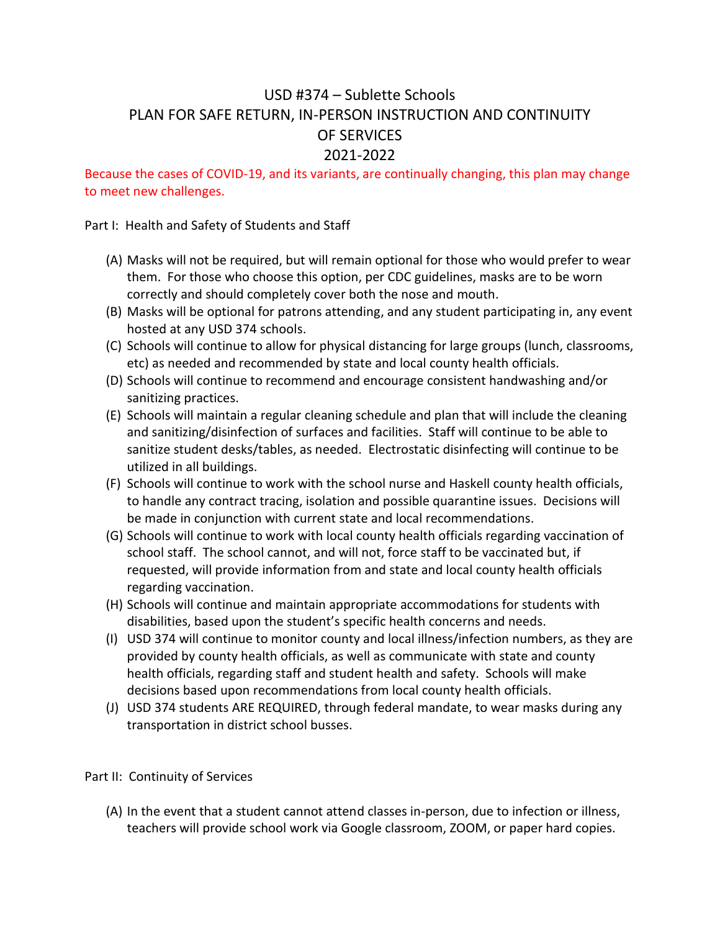## USD #374 – Sublette Schools PLAN FOR SAFE RETURN, IN-PERSON INSTRUCTION AND CONTINUITY OF SERVICES 2021-2022

Because the cases of COVID-19, and its variants, are continually changing, this plan may change to meet new challenges.

Part I: Health and Safety of Students and Staff

- (A) Masks will not be required, but will remain optional for those who would prefer to wear them. For those who choose this option, per CDC guidelines, masks are to be worn correctly and should completely cover both the nose and mouth.
- (B) Masks will be optional for patrons attending, and any student participating in, any event hosted at any USD 374 schools.
- (C) Schools will continue to allow for physical distancing for large groups (lunch, classrooms, etc) as needed and recommended by state and local county health officials.
- (D) Schools will continue to recommend and encourage consistent handwashing and/or sanitizing practices.
- (E) Schools will maintain a regular cleaning schedule and plan that will include the cleaning and sanitizing/disinfection of surfaces and facilities. Staff will continue to be able to sanitize student desks/tables, as needed. Electrostatic disinfecting will continue to be utilized in all buildings.
- (F) Schools will continue to work with the school nurse and Haskell county health officials, to handle any contract tracing, isolation and possible quarantine issues. Decisions will be made in conjunction with current state and local recommendations.
- (G) Schools will continue to work with local county health officials regarding vaccination of school staff. The school cannot, and will not, force staff to be vaccinated but, if requested, will provide information from and state and local county health officials regarding vaccination.
- (H) Schools will continue and maintain appropriate accommodations for students with disabilities, based upon the student's specific health concerns and needs.
- (I) USD 374 will continue to monitor county and local illness/infection numbers, as they are provided by county health officials, as well as communicate with state and county health officials, regarding staff and student health and safety. Schools will make decisions based upon recommendations from local county health officials.
- (J) USD 374 students ARE REQUIRED, through federal mandate, to wear masks during any transportation in district school busses.

Part II: Continuity of Services

(A) In the event that a student cannot attend classes in-person, due to infection or illness, teachers will provide school work via Google classroom, ZOOM, or paper hard copies.